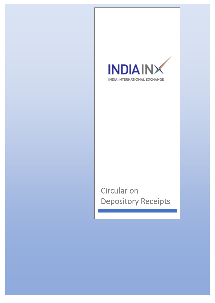

# Circular on Depository Receipts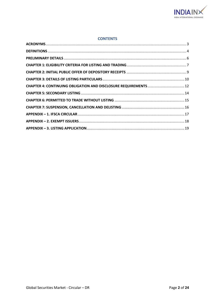

#### **CONTENTS**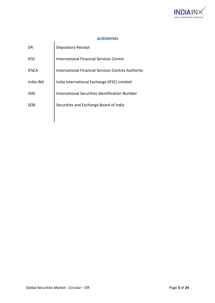

# **ACRONYMS**

<span id="page-2-0"></span>

| DR           | <b>Depository Receipt</b>                                 |
|--------------|-----------------------------------------------------------|
| <b>IFSC</b>  | <b>International Financial Services Centre</b>            |
| <b>IFSCA</b> | <b>International Financial Services Centres Authority</b> |
| India INX    | India International Exchange (IFSC) Limited               |
| <b>ISIN</b>  | <b>International Securities Identification Number</b>     |
| <b>SEBI</b>  | Securities and Exchange Board of India                    |
|              |                                                           |

 $\mathbf{\mathbf{\mathsf{I}}}$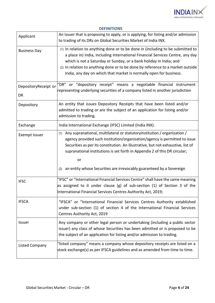

| Applicant                  | An issuer that is proposing to apply, or is applying, for listing and/or admission<br>to trading of its DRs on Global Securities Market of India INX.                                                                                                                                                                                                                                                                 |
|----------------------------|-----------------------------------------------------------------------------------------------------------------------------------------------------------------------------------------------------------------------------------------------------------------------------------------------------------------------------------------------------------------------------------------------------------------------|
| <b>Business Day</b>        | (1) In relation to anything done or to be done in (including to be submitted to<br>a place in) India, including International Financial Services Centre, any day<br>which is not a Saturday or Sunday, or a bank holiday in India; and<br>(2) In relation to anything done or to be done by reference to a market outside<br>India, any day on which that market is normally open for business.                       |
| DepositoryReceipt or<br>DR | or "depository receipt" means a negotiable financial instrument<br>"DR"<br>representing underlying securities of a company listed in another jurisdiction                                                                                                                                                                                                                                                             |
| Depository                 | An entity that issues Depository Receipts that have been listed and/or<br>admitted to trading or are the subject of an application for listing and/or<br>admission to trading.                                                                                                                                                                                                                                        |
| Exchange                   | India International Exchange (IFSC) Limited (India INX).                                                                                                                                                                                                                                                                                                                                                              |
| <b>Exempt Issuer</b>       | Any supranational, multilateral or statutory institution / organization /<br>(1)<br>agency provided such institution/organisation/agency is permitted to issue<br>Securities as per its constitution. An illustrative, but not exhaustive, list of<br>supranational institutions is set forth in Appendix 2 of this DR circular;<br>or<br>an entity whose Securities are irrevocably guaranteed by a Sovereign<br>(2) |
| <b>IFSC</b>                | "IFSC" or "International Financial Services Centre" shall have the same meaning<br>as assigned to it under clause (g) of sub-section $(1)$ of Section 3 of the<br>International Financial Services Centres Authority Act, 2019;                                                                                                                                                                                       |
| <b>IFSCA</b>               | "IFSCA" or "International Financial Services Centres Authority established<br>under sub-section (1) of section 4 of the International Financial Services<br>Centres Authority Act, 2019                                                                                                                                                                                                                               |
| Issuer                     | Any company or other legal person or undertaking (including a public sector<br>issuer) any class of whose Securities has been admitted or is proposed to be<br>the subject of an application for listing and/or admission to trading.                                                                                                                                                                                 |
| Listed Company             | "listed company" means a company whose depository receipts are listed on a<br>stock exchange(s) as per IFSCA guidelines and as amended from time to time.                                                                                                                                                                                                                                                             |

#### <span id="page-3-0"></span>**DEFINITIONS**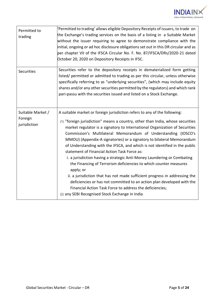

| Permitted to<br>trading                      | 'Permitted to trading' allows eligible Depository Receipts of issuers, to trade on<br>the Exchange's trading services on the basis of a listing in a Suitable Market<br>without the issuer requiring to agree to demonstrate compliance with the<br>initial, ongoing or ad hoc disclosure obligations set out in this DR circular and as<br>per chapter VII of the IFSCA Circular No. F. No. 87/IFSCA/DRs/2020-21 dated<br>October 20, 2020 on Depository Receipts in IFSC.                                                                                                                                                                                                                                                                                                                                                                                                                                                                             |  |
|----------------------------------------------|---------------------------------------------------------------------------------------------------------------------------------------------------------------------------------------------------------------------------------------------------------------------------------------------------------------------------------------------------------------------------------------------------------------------------------------------------------------------------------------------------------------------------------------------------------------------------------------------------------------------------------------------------------------------------------------------------------------------------------------------------------------------------------------------------------------------------------------------------------------------------------------------------------------------------------------------------------|--|
| <b>Securities</b>                            | Securities refer to the depository receipts in dematerialized form getting<br>listed/ permitted or admitted to trading as per this circular, unless otherwise<br>specifically referring to as "underlying securities", (which may include equity<br>shares and/or any other securities permitted by the regulators) and which rank<br>pari-passu with the securities issued and listed on a Stock Exchange.                                                                                                                                                                                                                                                                                                                                                                                                                                                                                                                                             |  |
| Suitable Market /<br>Foreign<br>jurisdiction | A suitable market or foreign jurisdiction refers to any of the following:<br>(1) "foreign jurisdiction" means a country, other than India, whose securities<br>market regulator is a signatory to International Organization of Securities<br>Commission's Multilateral Memorandum of Understanding (IOSCO's<br>MMOU) (Appendix-A signatories) or a signatory to bilateral Memorandum<br>of Understanding with the IFSCA, and which is not identified in the public<br>statement of Financial Action Task Force as:<br>i. a jurisdiction having a strategic Anti-Money Laundering or Combating<br>the Financing of Terrorism deficiencies to which counter measures<br>apply; or<br>ii. a jurisdiction that has not made sufficient progress in addressing the<br>deficiencies or has not committed to an action plan developed with the<br>Financial Action Task Force to address the deficiencies;<br>(2) any SEBI Recognised Stock Exchange in India |  |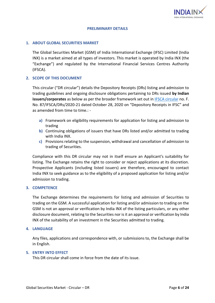

## **PRELIMINARY DETAILS**

# <span id="page-5-0"></span>**1. ABOUT GLOBAL SECURITIES MARKET**

The Global Securities Market (GSM) of India International Exchange (IFSC) Limited (India INX) is a market aimed at all types of investors. This market is operated by India INX (the "Exchange") and regulated by the International Financial Services Centres Authority (IFSCA).

#### **2. SCOPE OF THIS DOCUMENT**

This circular ("DR circular") details the Depository Receipts (DRs) listing and admission to trading guidelines and ongoing disclosure obligations pertaining to DRs issued **by Indian issuers/corporates** as below as per the broader framework set out in [IFSCA circular](https://ifsca.gov.in/web/?PT=0&BK=0&DW=1&file=/Document/Legal/depository_receipts_in_the_international_financial_services_centre28102020033349.pdf) no. F. No. 87/IFSCA/DRs/2020-21 dated October 28, 2020 on "Depository Receipts in IFSC" and as amended from time to time.: -

- **a)** Framework on eligibility requirements for application for listing and admission to trading
- **b)** Continuing obligations of issuers that have DRs listed and/or admitted to trading with India INX.
- **c)** Provisions relating to the suspension, withdrawal and cancellation of admission to trading of Securities.

Compliance with this DR circular may not in itself ensure an Applicant's suitability for listing. The Exchange retains the right to consider or reject applications at its discretion. Prospective Applicants (including listed issuers) are therefore, encouraged to contact India INX to seek guidance as to the eligibility of a proposed application for listing and/or admission to trading.

#### **3. COMPETENCE**

The Exchange determines the requirements for listing and admission of Securities to trading on the GSM. A successful application for listing and/or admission to trading on the GSM is not an approval or verification by India INX of the listing particulars, or any other disclosure document, relating to the Securities nor is it an approval or verification by India INX of the suitability of an investment in the Securities admitted to trading.

#### **4. LANGUAGE**

Any files, applications and correspondence with, or submissions to, the Exchange shall be in English.

#### **5. ENTRY INTO EFFECT**

This DR circular shall come in force from the date of its issue.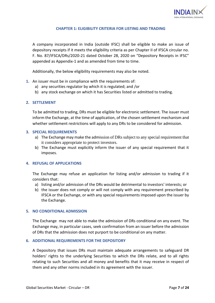

# **CHAPTER 1: ELIGIBILITY CRITERIA FOR LISTING AND TRADING**

<span id="page-6-0"></span>A company incorporated in India (outside IFSC) shall be eligible to make an issue of depository receipts if it meets the eligibility criteria as per Chapter II of IFSCA circular no. F. No. 87/IFSCA/DRs/2020-21 dated October 28, 2020 on "Depository Receipts in IFSC" appended as Appendix-1 and as amended from time to time.

Additionally, the below eligibility requirements may also be noted.

- **1.** An issuer must be in compliance with the requirements of:
	- a) any securities regulator by which it is regulated; and /or
	- b) any stock exchange on which it has Securities listed or admitted to trading.

# **2. SETTLEMENT**

To be admitted to trading, DRs must be eligible for electronic settlement. The issuer must inform the Exchange, at the time of application, of the chosen settlement mechanism and whether settlement restrictions will apply to any DRs to be considered for admission.

#### **3. SPECIAL REQUIREMENTS**

- a) The Exchange may make the admission of DRs subject to any special requirement that it considers appropriate to protect investors.
- b) The Exchange must explicitly inform the issuer of any special requirement that it imposes.

# **4. REFUSAL OF APPLICATIONS**

The Exchange may refuse an application for listing and/or admission to trading if it considers that:

- a) listing and/or admission of the DRs would be detrimental to investors' interests; or
- b) the issuer does not comply or will not comply with any requirement prescribed by IFSCA or the Exchange, or with any special requirements imposed upon the issuer by the Exchange.

#### **5. NO CONDITIONAL ADMISSION**

The Exchange may not able to make the admission of DRs conditional on any event. The Exchange may, in particular cases, seek confirmation from an issuer before the admission of DRs that the admission does not purport to be conditional on any matter.

# **6. ADDITIONAL REQUIREMENTS FOR THE DEPOSITORY**

A Depository that issues DRs must maintain adequate arrangements to safeguard DR holders' rights to the underlying Securities to which the DRs relate, and to all rights relating to such Securities and all money and benefits that it may receive in respect of them and any other norms included in its agreement with the issuer.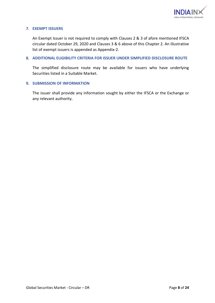

# **7. EXEMPT ISSUERS**

An Exempt Issuer is not required to comply with Clauses 2 & 3 of afore mentioned IFSCA circular dated October 29, 2020 and Clauses 3 & 6 above of this Chapter 2. An illustrative list of exempt issuers is appended as Appendix-2.

#### **8. ADDITIONAL ELIGIBILITY CRITERIA FOR ISSUER UNDER SIMPLIFIED DISCLOSURE ROUTE**

The simplified disclosure route may be available for issuers who have underlying Securities listed in a Suitable Market.

#### **9. SUBMISSION OF INFORMATION**

The issuer shall provide any information sought by either the IFSCA or the Exchange or any relevant authority.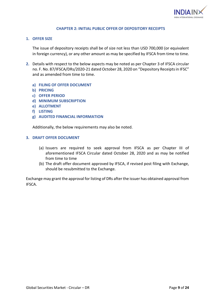

#### **CHAPTER 2: INITIAL PUBLIC OFFER OF DEPOSITORY RECEIPTS**

#### <span id="page-8-0"></span>**1. OFFER SIZE**

The issue of depository receipts shall be of size not less than USD 700,000 (or equivalent in foreign currency), or any other amount as may be specified by IFSCA from time to time.

- **2.** Details with respect to the below aspects may be noted as per Chapter 3 of [IFSCA circular](https://ifsca.gov.in/web/?PT=0&BK=0&DW=1&file=/Document/Legal/depository_receipts_in_the_international_financial_services_centre28102020033349.pdf) no. F. No. 87/IFSCA/DRs/2020-21 dated October 28, 2020 on "Depository Receipts in IFSC" and as amended from time to time.
	- **a) FILING OF OFFER DOCUMENT**
	- **b) PRICING**
	- **c) OFFER PERIOD**
	- **d) MINIMUM SUBSCRIPTION**
	- **e) ALLOTMENT**
	- **f) LISTING**
	- **g) AUDITED FINANCIAL INFORMATION**

Additionally, the below requirements may also be noted.

# **3. DRAFT OFFER DOCUMENT**

- (a) Issuers are required to seek approval from IFSCA as per Chapter III of aforementioned IFSCA Circular dated October 28, 2020 and as may be notified from time to time
- (b) The draft offer document approved by IFSCA, if revised post filing with Exchange, should be resubmitted to the Exchange.

Exchange may grant the approval for listing of DRs after the issuer has obtained approval from IFSCA.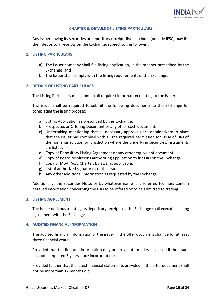

# **CHAPTER 3: DETAILS OF LISTING PARTICULARS**

<span id="page-9-0"></span>Any issuer having its securities or depository receipts listed in India (outside IFSC) may list their depository receipts on the Exchange, subject to the following:

#### **1. LISTING PARTICULARS**

- a) The issuer company shall file listing application, in the manner prescribed by the Exchange; and
- b) The Issuer shall comply with the listing requirements of the Exchange.

#### **2. DETAILS OF LISTING PARTICULARS**

The Listing Particulars must contain all required information relating to the issuer.

The issuer shall be required to submit the following documents to the Exchange for completing the listing process:

- a) Listing Application as prescribed by the Exchange.
- b) Prospectus or Offering Document or any other such document.
- c) Undertaking mentioning that all necessary approvals are obtained/are in place that the issuer has complied with all the required permission for issue of DRs of the home jurisdiction or jurisdiction where the underlying securities/instruments are listed;
- d) Copy of Depository Listing Agreement or any other equivalent document.
- e) Copy of Board resolutions authorizing application to list DRs on the Exchange
- f) Copy of MoA, AoA, Charter, bylaws, as applicable.
- g) List of authorized signatories of the issuer
- h) Any other additional information as requested by the Exchange.

Additionally, the Securities Note, or by whatever name it is referred to, must contain detailed information concerning the DRs to be offered or to be admitted to trading.

#### **3. LISTING AGREEMENT**

The issuer desirous of listing its depository receipts on the Exchange shall execute a listing agreement with the Exchange.

#### **4. AUDITED FINANCIAL INFORMATION**

The audited financial information of the issuer in the offer document shall be for at least three financial years:

Provided that the financial information may be provided for a lesser period if the issuer has not completed 3 years since incorporation:

Provided further that the latest financial statements provided in the offer document shall not be more than 12 months old.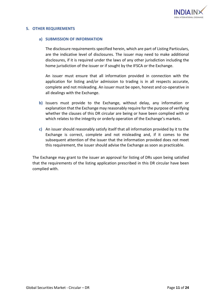

#### **5. OTHER REQUIREMENTS**

#### **a) SUBMISSION OF INFORMATION**

The disclosure requirements specified herein, which are part of Listing Particulars, are the indicative level of disclosures. The issuer may need to make additional disclosures, if it is required under the laws of any other jurisdiction including the home jurisdiction of the issuer or if sought by the IFSCA or the Exchange.

An issuer must ensure that all information provided in connection with the application for listing and/or admission to trading is in all respects accurate, complete and not misleading. An issuer must be open, honest and co-operative in all dealings with the Exchange.

- **b)** Issuers must provide to the Exchange, without delay, any information or explanation that the Exchange may reasonably require for the purpose of verifying whether the clauses of this DR circular are being or have been complied with or which relates to the integrity or orderly operation of the Exchange's markets.
- **c)** An issuer should reasonably satisfy itself that all information provided by it to the Exchange is correct, complete and not misleading and, if it comes to the subsequent attention of the issuer that the information provided does not meet this requirement, the issuer should advise the Exchange as soon as practicable.

The Exchange may grant to the issuer an approval for listing of DRs upon being satisfied that the requirements of the listing application prescribed in this DR circular have been complied with.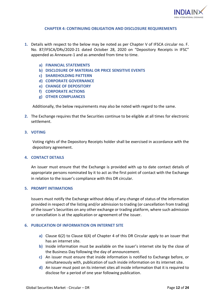

## **CHAPTER 4: CONTINUING OBLIGATION AND DISCLOSURE REQUIREMENTS**

- <span id="page-11-0"></span>**1.** Details with respect to the below may be noted as per Chapter V of IFSCA circular no. F. No. 87/IFSCA/DRs/2020-21 dated October 28, 2020 on "Depository Receipts in IFSC" appended as Annexure-1 and as amended from time to time.
	- **a) FINANCIAL STATEMENTS**
	- **b) DISCLOSURE OF MATERIAL OR PRICE SENSITIVE EVENTS**
	- **c) SHAREHOLDING PATTERN**
	- **d) CORPORATE GOVERNANCE**
	- **e) CHANGE OF DEPOSITORY**
	- **f) CORPORATE ACTIONS**
	- **g) OTHER COMPLIANCES**

Additionally, the below requirements may also be noted with regard to the same.

**2.** The Exchange requires that the Securities continue to be eligible at all times for electronic settlement.

#### **3. VOTING**

Voting rights of the Depository Receipts holder shall be exercised in accordance with the depository agreement.

#### **4. CONTACT DETAILS**

An issuer must ensure that the Exchange is provided with up to date contact details of appropriate persons nominated by it to act as the first point of contact with the Exchange in relation to the issuer's compliance with this DR circular.

#### **5. PROMPT INTIMATIONS**

Issuers must notify the Exchange without delay of any change of status of the information provided in respect of the listing and/or admission to trading (or cancellation from trading) of the issuer's Securities on any other exchange or trading platform, where such admission or cancellation is at the application or agreement of the issuer.

#### **6. PUBLICATION OF INFORMATION ON INTERNET SITE**

- **a)** Clause 6(2) to Clause 6(4) of Chapter 4 of this DR Circular apply to an issuer that has an internet site.
- **b)** Inside information must be available on the issuer's internet site by the close of the Business Day following the day of announcement.
- **c)** An issuer must ensure that inside information is notified to Exchange before, or simultaneously with, publication of such inside information on its internet site.
- **d)** An issuer must post on its internet sites all inside information that it is required to disclose for a period of one year following publication.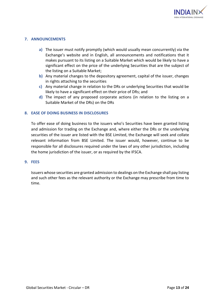

# **7. ANNOUNCEMENTS**

- **a)** The issuer must notify promptly (which would usually mean concurrently) via the Exchange's website and in English, all announcements and notifications that it makes pursuant to its listing on a Suitable Market which would be likely to have a significant effect on the price of the underlying Securities that are the subject of the listing on a Suitable Market;
- **b)** Any material changes to the depository agreement, capital of the issuer, changes in rights attaching to the securities
- **c)** Any material change in relation to the DRs or underlying Securities that would be likely to have a significant effect on their price of DRs; and
- **d)** The impact of any proposed corporate actions (in relation to the listing on a Suitable Market of the DRs) on the DRs

# **8. EASE OF DOING BUSINESS IN DISCLOSURES**

To offer ease of doing business to the issuers who's Securities have been granted listing and admission for trading on the Exchange and, where either the DRs or the underlying securities of the issuer are listed with the BSE Limited, the Exchange will seek and collate relevant information from BSE Limited. The issuer would, however, continue to be responsible for all disclosures required under the laws of any other jurisdiction, including the home jurisdiction of the issuer, or as required by the IFSCA.

#### **9. FEES**

Issuers whose securities are granted admission to dealings on the Exchange shall pay listing and such other fees as the relevant authority or the Exchange may prescribe from time to time.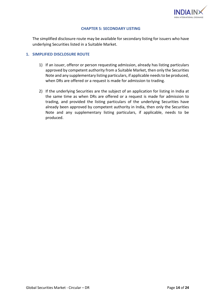

#### **CHAPTER 5: SECONDARY LISTING**

<span id="page-13-0"></span>The simplified disclosure route may be available for secondary listing for issuers who have underlying Securities listed in a Suitable Market.

# **1. SIMPLIFIED DISCLOSURE ROUTE**

- 1) If an issuer, offeror or person requesting admission, already has listing particulars approved by competent authority from a Suitable Market, then only the Securities Note and any supplementary listing particulars, if applicable needs to be produced, when DRs are offered or a request is made for admission to trading.
- 2) If the underlying Securities are the subject of an application for listing in India at the same time as when DRs are offered or a request is made for admission to trading, and provided the listing particulars of the underlying Securities have already been approved by competent authority in India, then only the Securities Note and any supplementary listing particulars, if applicable, needs to be produced.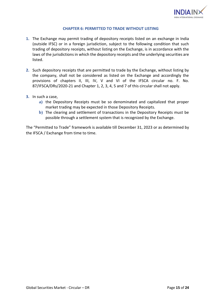

# **CHAPTER 6: PERMITTED TO TRADE WITHOUT LISTING**

- <span id="page-14-0"></span>**1.** The Exchange may permit trading of depository receipts listed on an exchange in India (outside IFSC) or in a foreign jurisdiction, subject to the following condition that such trading of depository receipts, without listing on the Exchange, is in accordance with the laws of the jurisdictions in which the depository receipts and the underlying securities are listed.
- **2.** Such depository receipts that are permitted to trade by the Exchange, without listing by the company, shall not be considered as listed on the Exchange and accordingly the provisions of chapters II, III, IV, V and VI of the IFSCA circular no. F. No. 87/IFSCA/DRs/2020-21 and Chapter 1, 2, 3, 4, 5 and 7 of this circular shall not apply.
- **3.** In such a case,
	- **a)** the Depository Receipts must be so denominated and capitalized that proper market trading may be expected in those Depository Receipts.
	- **b)** The clearing and settlement of transactions in the Depository Receipts must be possible through a settlement system that is recognized by the Exchange.

The "Permitted to Trade" framework is available till December 31, 2023 or as determined by the IFSCA / Exchange from time to time.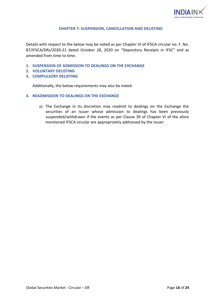

# **CHAPTER 7: SUSPENSION, CANCELLATION AND DELISTING**

<span id="page-15-0"></span>Details with respect to the below may be noted as per Chapter VI of IFSCA circular no. F. No. 87/IFSCA/DRs/2020-21 dated October 28, 2020 on "Depository Receipts in IFSC" and as amended from time to time.

- **1. SUSPENSION OF ADMISSION TO DEALINGS ON THE EXCHANGE**
- **2. VOLUNTARY DELISTING**
- **3. COMPULSORY DELISTING**

Additionally, the below requirements may also be noted.

- **4. READMISSION TO DEALINGS ON THE EXCHANGE**
	- **a)** The Exchange in its discretion may readmit to dealings on the Exchange the securities of an issuer whose admission to dealings has been previously suspended/withdrawn if the events as per Clause 39 of Chapter VI of the afore mentioned IFSCA circular are appropriately addressed by the issuer.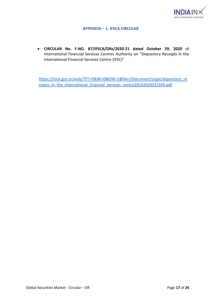

# **APPENDIX – 1. IFSCA CIRCULAR**

<span id="page-16-0"></span>• **CIRCULAR No. F.NO. 87/IFSCA/DRs/2020-21 dated October 29, 2020** of International Financial Services Centres Authority on "Depository Receipts in the International Financial Services Centre (IFSC)"

[https://ifsca.gov.in/web/?PT=0&BK=0&DW=1&file=/Document/Legal/depository\\_re](https://ifsca.gov.in/web/?PT=0&BK=0&DW=1&file=/Document/Legal/depository_receipts_in_the_international_financial_services_centre28102020033349.pdf) ceipts in the international financial services centre28102020033349.pdf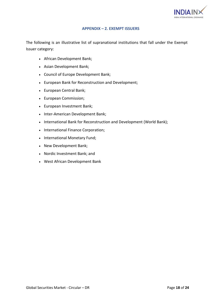

## **APPENDIX – 2. EXEMPT ISSUERS**

<span id="page-17-0"></span>The following is an illustrative list of supranational institutions that fall under the Exempt Issuer category:

- African Development Bank;
- Asian Development Bank;
- Council of Europe Development Bank;
- European Bank for Reconstruction and Development;
- European Central Bank;
- European Commission;
- European Investment Bank;
- Inter-American Development Bank;
- International Bank for Reconstruction and Development (World Bank);
- International Finance Corporation;
- International Monetary Fund;
- New Development Bank;
- Nordic Investment Bank; and
- West African Development Bank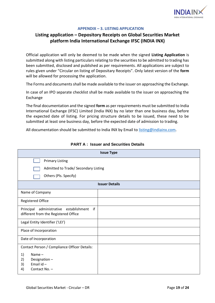

#### **APPENDIX – 3. LISTING APPLICATION**

# <span id="page-18-0"></span>**Listing application – Depository Receipts on Global Securities Market platform India International Exchange IFSC (INDIA INX)**

Official application will only be deemed to be made when the signed **Listing Application** is submitted along with listing particulars relating to the securities to be admitted to trading has been submitted, disclosed and published as per requirements. All applications are subject to rules given under "Circular on listing of Depositary Receipts". Only latest version of the **form**  will be allowed for processing the application.

The Forms and documents shall be made available to the issuer on approaching the Exchange.

In case of an IPO separate checklist shall be made available to the issuer on approaching the Exchange

The final documentation and the signed **form** as per requirements must be submitted to India International Exchange (IFSC) Limited (India INX) by no later than one business day, before the expected date of listing. For pricing structure details to be issued, these need to be submitted at least one business day, before the expected date of admission to trading.

All documentation should be submitted to India INX by Email to [listing@indiainx.com.](mailto:listing@indiainx.com)

| <b>Issue Type</b>                                                                          |  |  |  |
|--------------------------------------------------------------------------------------------|--|--|--|
| <b>Primary Listing</b>                                                                     |  |  |  |
| Admitted to Trade/ Secondary Listing                                                       |  |  |  |
| Others (Pls. Specify)                                                                      |  |  |  |
| <b>Issuer Details</b>                                                                      |  |  |  |
| Name of Company                                                                            |  |  |  |
| <b>Registered Office</b>                                                                   |  |  |  |
| establishment<br>if<br>Principal<br>administrative<br>different from the Registered Office |  |  |  |
| Legal Entity Identifier ('LEI')                                                            |  |  |  |
| Place of Incorporation                                                                     |  |  |  |
| Date of Incorporation                                                                      |  |  |  |
| Contact Person / Compliance Officer Details:                                               |  |  |  |
| 1)<br>Name $-$                                                                             |  |  |  |
| 2)<br>Designation-<br>Email $id -$<br>3)                                                   |  |  |  |
| Contact No. -<br>4)                                                                        |  |  |  |

# **PART A : Issuer and Securities Details**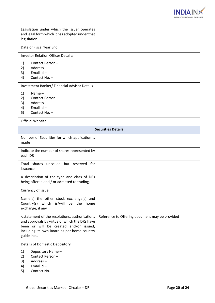

| Legislation under which the issuer operates<br>and legal form which it has adopted under that<br>legislation                                                                                            |                                                |  |  |
|---------------------------------------------------------------------------------------------------------------------------------------------------------------------------------------------------------|------------------------------------------------|--|--|
| Date of Fiscal Year End                                                                                                                                                                                 |                                                |  |  |
| <b>Investor Relation Officer Details:</b>                                                                                                                                                               |                                                |  |  |
| Contact Person-<br>1)<br>2)<br>Address-<br>3)<br>Email $Id -$<br>Contact No. -<br>4)                                                                                                                    |                                                |  |  |
| <b>Investment Banker/Financial Advisor Details</b>                                                                                                                                                      |                                                |  |  |
| Name $-$<br>1)<br>2)<br>Contact Person-<br>3)<br>Address-<br>Email $Id -$<br>4)<br>5)<br>Contact No. -                                                                                                  |                                                |  |  |
| <b>Official Website</b>                                                                                                                                                                                 |                                                |  |  |
| <b>Securities Details</b>                                                                                                                                                                               |                                                |  |  |
| Number of Securities for which application is<br>made                                                                                                                                                   |                                                |  |  |
| Indicate the number of shares represented by<br>each DR                                                                                                                                                 |                                                |  |  |
| Total shares unissued but reserved for<br>issuance                                                                                                                                                      |                                                |  |  |
| A description of the type and class of DRs<br>being offered and / or admitted to trading.                                                                                                               |                                                |  |  |
| Currency of issue                                                                                                                                                                                       |                                                |  |  |
| Name(s) the other stock exchange(s) and<br>Country(s) which is/will be the home<br>exchange, if any                                                                                                     |                                                |  |  |
| A statement of the resolutions, authorisations<br>and approvals by virtue of which the DRs have<br>been or will be created and/or issued,<br>including its own Board as per home country<br>guidelines. | Reference to Offering document may be provided |  |  |
| Details of Domestic Depository :                                                                                                                                                                        |                                                |  |  |
| 1)<br>Depository Name -<br>2)<br>Contact Person-<br>3)<br>Address-<br>Email $Id -$<br>4)<br>5)<br>Contact No. -                                                                                         |                                                |  |  |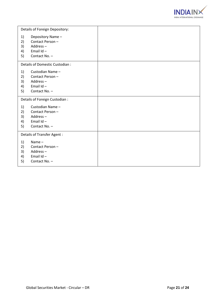

|                            | Details of Foreign Depository:                                                |  |
|----------------------------|-------------------------------------------------------------------------------|--|
| 1)<br>2)<br>3)<br>4)<br>5) | Depository Name-<br>Contact Person-<br>Address-<br>Email Id-<br>Contact No. - |  |
|                            | Details of Domestic Custodian :                                               |  |
| 1)<br>2)<br>3)<br>4)<br>5) | Custodian Name-<br>Contact Person-<br>Address-<br>Email Id-<br>Contact No. -  |  |
|                            | Details of Foreign Custodian :                                                |  |
| 1)<br>2)<br>3)<br>4)<br>5) | Custodian Name-<br>Contact Person-<br>Address-<br>Email Id-<br>Contact No. -  |  |
|                            | Details of Transfer Agent :                                                   |  |
| 1)<br>2)<br>3)<br>4)<br>5) | Name $-$<br>Contact Person-<br>Address-<br>Email Id-<br>Contact No. -         |  |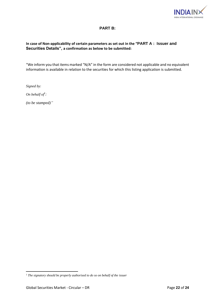

# **PART B:**

# **In case of Non-applicability of certain parameters as set out in the "PART A : Issuer and Securities Details", a confirmation as below to be submitted:**

"We inform you that items marked "N/A" in the form are considered not applicable and no equivalent information is available in relation to the securities for which this listing application is submitted.

*Signed by:*

*On behalf of*<sup> $1$ </sup>:

*(to be stamped)"*

<sup>1</sup> *The signatory should be properly authorised to do so on behalf of the issuer*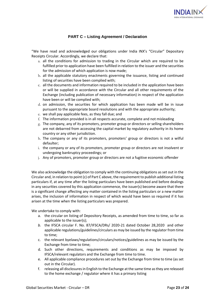

# **PART C – Listing Agreement / Declaration**

"We have read and acknowledged our obligations under India INX's "Circular" Depositary Receipts Circular. Accordingly, we declare that:

- a. all the conditions for admission to trading in the Circular which are required to be fulfilled prior to application have been fulfilled in relation to the issuer and the securities for the admission of which application is now made;
- b. all the applicable statutory enactments governing the issuance, listing and continued listing of securities have been complied with;
- c. all the documents and information required to be included in the application have been or will be supplied in accordance with the Circular and all other requirements of the Exchange (including publication of necessary information) in respect of the application have been or will be complied with;
- d. on admission, the securities for which application has been made will be in issue pursuant to the appropriate board resolutions and with the appropriate authority;
- e. we shall pay applicable fees, as they fall due; and
- f. The information provided is in all respects accurate, complete and not misleading
- g. The company, any of its promoters, promoter group or directors or selling shareholders are not debarred from accessing the capital market by regulatory authority in its home country or any other jurisdiction.
- h. The company or any of its promoters, promoters' group or directors is not a wilful defaulter;
- i. the company or any of its promoters, promoter group or directors are not insolvent or undergoing bankruptcy proceedings; or
- j. Any of promoters, promoter group or directors are not a fugitive economic offender

We also acknowledge the obligation to comply with the continuing obligations as set out in the Circular and, in relation to point (c) of Part C above, the requirement to publish additional listing particulars if, at any time after the listing particulars have been published and before dealings in any securities covered by this application commence, the issuer(s) become aware that there is a significant change affecting any matter contained in the listing particulars or a new matter arises, the inclusion of information in respect of which would have been so required if it has arisen at the time when the listing particulars was prepared.

We undertake to comply with:

- a. the circular on listing of Depository Receipts, as amended from time to time, so far as applicable to the issuer(s);
- *b.* the IFSCA circular F. No. 87/IFSCA/DRs/ 2020-21 dated October 28,2020and other applicable regulations/guidelines/circulars as may be issued by the regulator from time to time;
- c. the relevant byelaws/regulations/circulars/notices/guidelines as may be issued by the Exchange from time to time;
- d. Such other directions, requirements and conditions as may be imposed by IFSCA/relevant regulators and the Exchange from time to time.
- e. All applicable compliance procedures set out by the Exchange from time to time (as set out in the Circular).
- f. releasing all disclosures in English to the Exchange at the same time as they are released to the home exchange / regulator where it has a primary listing